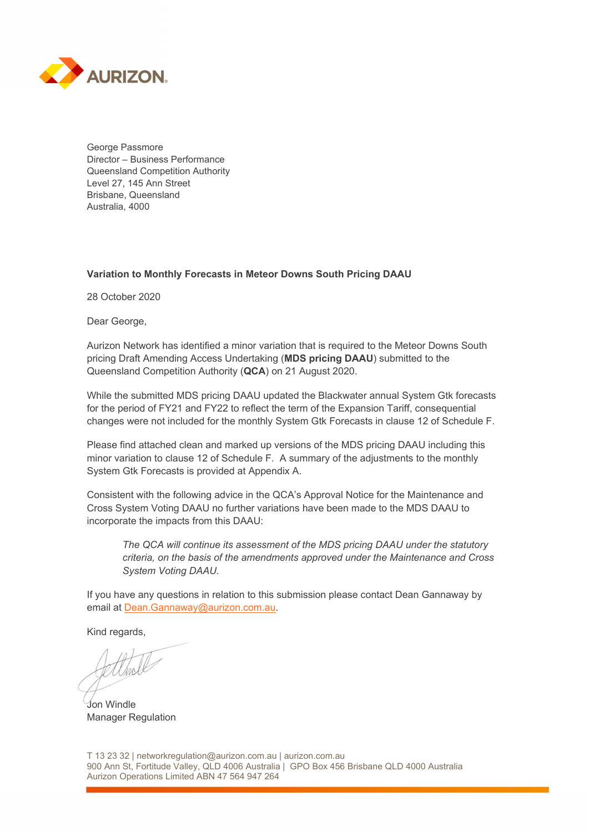

George Passmore Director – Business Performance Queensland Competition Authority Level 27, 145 Ann Street Brisbane, Queensland Australia, 4000

## **Variation to Monthly Forecasts in Meteor Downs South Pricing DAAU**

28 October 2020

Dear George,

Aurizon Network has identified a minor variation that is required to the Meteor Downs South pricing Draft Amending Access Undertaking (**MDS pricing DAAU**) submitted to the Queensland Competition Authority (**QCA**) on 21 August 2020.

While the submitted MDS pricing DAAU updated the Blackwater annual System Gtk forecasts for the period of FY21 and FY22 to reflect the term of the Expansion Tariff, consequential changes were not included for the monthly System Gtk Forecasts in clause 12 of Schedule F.

Please find attached clean and marked up versions of the MDS pricing DAAU including this minor variation to clause 12 of Schedule F. A summary of the adjustments to the monthly System Gtk Forecasts is provided at Appendix A.

Consistent with the following advice in the QCA's Approval Notice for the Maintenance and Cross System Voting DAAU no further variations have been made to the MDS DAAU to incorporate the impacts from this DAAU:

*The QCA will continue its assessment of the MDS pricing DAAU under the statutory criteria, on the basis of the amendments approved under the Maintenance and Cross System Voting DAAU.* 

If you have any questions in relation to this submission please contact Dean Gannaway by email at Dean.Gannaway@aurizon.com.au.

Kind regards,

Jon Windle Manager Regulation

T 13 23 32 | networkregulation@aurizon.com.au | aurizon.com.au 900 Ann St, Fortitude Valley, QLD 4006 Australia | GPO Box 456 Brisbane QLD 4000 Australia Aurizon Operations Limited ABN 47 564 947 264